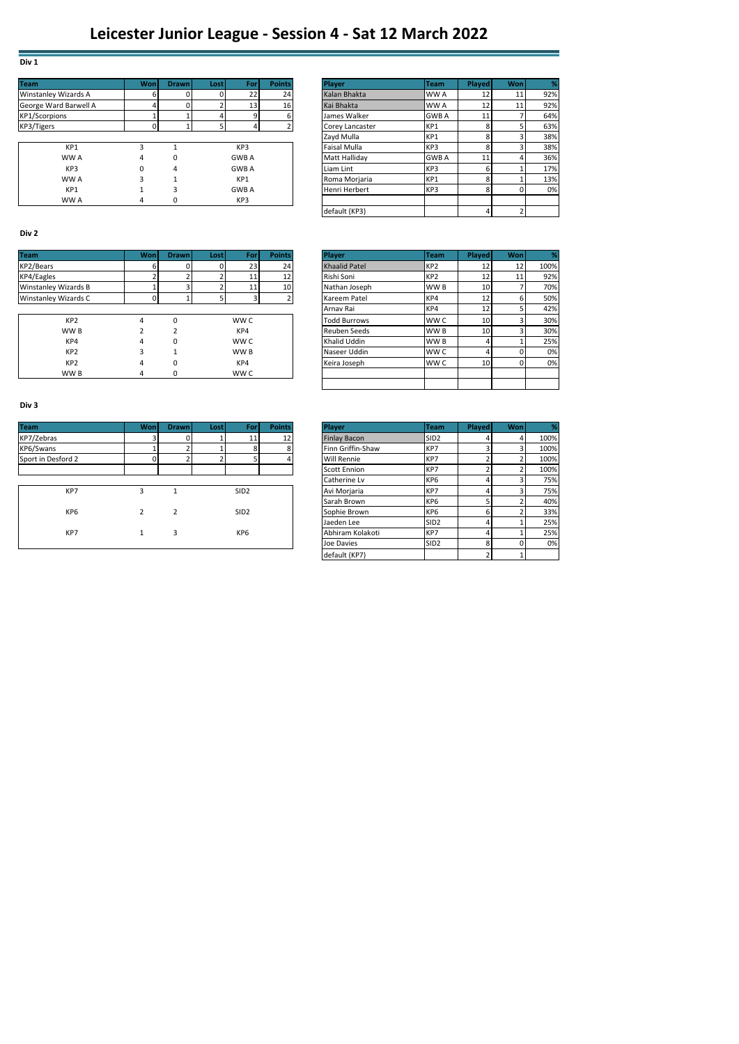# **Div 1**

| <b>Team</b>                 | Won | <b>Drawn</b> | <b>Lost</b> | For             | <b>Points</b> | Player          | <b>Team</b>  | Played | Wonl | %   |
|-----------------------------|-----|--------------|-------------|-----------------|---------------|-----------------|--------------|--------|------|-----|
| <b>Winstanley Wizards A</b> |     |              |             | 22              | 24            | Kalan Bhakta    | WW A         | 12     | 11   | 92% |
| George Ward Barwell A       |     | 0            |             | 13 <sup>1</sup> | 16            | Kai Bhakta      | WW A         | 12     | 11   | 92% |
| <b>KP1/Scorpions</b>        |     |              |             |                 | 6             | James Walker    | <b>GWB A</b> | 11     |      | 64% |
| KP3/Tigers                  |     |              |             |                 |               | Corey Lancaster | KP1          |        |      | 63% |
|                             |     |              |             |                 |               | Zayd Mulla      | KP1          |        |      | 38% |
| KP1                         | з   |              |             | KP3             |               | Faisal Mulla    | KP3          |        |      | 38% |
| WW A                        | 4   | 0            |             | <b>GWBA</b>     |               | Matt Hallidav   | <b>GWB A</b> | 11     |      | 36% |
| KP3                         | 0   | 4            |             | <b>GWB A</b>    |               | Liam Lint       | KP3          |        |      | 17% |
| WW A                        | 3   |              |             | KP1             |               | Roma Morjaria   | KP1          |        |      | 13% |
| KP1                         |     |              |             | <b>GWB A</b>    |               | Henri Herbert   | KP3          |        | 0    | 0%  |
| WW A                        | 4   |              |             | KP3             |               |                 |              |        |      |     |

|   |   | 22 <sub>1</sub> | 24 | Kalan Bhakta        | WW A         | 12 | 11 | 92% |
|---|---|-----------------|----|---------------------|--------------|----|----|-----|
|   |   | 13 <sub>1</sub> | 16 | Kai Bhakta          | WW A         | 12 | 11 | 92% |
|   |   |                 |    | James Walker        | <b>GWB A</b> | 11 |    | 64% |
|   |   |                 |    | Corey Lancaster     | KP1          |    |    | 63% |
|   |   |                 |    | Zavd Mulla          | KP1          |    |    | 38% |
|   |   | KP <sub>3</sub> |    | <b>Faisal Mulla</b> | KP3          |    |    | 38% |
| 4 | 0 | <b>GWBA</b>     |    | Matt Hallidav       | <b>GWB A</b> | 11 |    | 36% |
|   | 4 | <b>GWBA</b>     |    | Liam Lint           | KP3          |    |    | 17% |
| 3 |   | KP1             |    | Roma Morjaria       | KP1          | 8  |    | 13% |
|   | ٩ | <b>GWBA</b>     |    | Henri Herbert       | KP3          | 8  |    | 0%  |
| 4 | 0 | KP3             |    |                     |              |    |    |     |
|   |   |                 |    | default (KP3)       |              |    |    |     |
|   |   |                 |    |                     |              |    |    |     |

### **Div 2**

| <b>Team</b>                 | Wonl | <b>Drawn</b> | <b>Lost</b> | For  | <b>Points</b>   | <b>Player</b>        | <b>Team</b>     | <b>Played</b>   | Wonl | ℅    |
|-----------------------------|------|--------------|-------------|------|-----------------|----------------------|-----------------|-----------------|------|------|
| KP2/Bears                   |      |              |             | 23   | 24              | <b>Khaalid Patel</b> | KP <sub>2</sub> | 12              | 12   | 100% |
| KP4/Eagles                  |      |              |             | 11   | 12 <sub>1</sub> | Rishi Soni           | KP <sub>2</sub> | 12              | 11   | 92%  |
| <b>Winstanley Wizards B</b> |      |              |             | 11   | 10              | Nathan Joseph        | WW B            | 10              |      | 70%  |
| Winstanley Wizards C        |      |              |             |      |                 | Kareem Patel         | KP4             | 12              |      | 50%  |
|                             |      |              |             |      |                 | Arnav Rai            | KP4             | 12              |      | 42%  |
| KP <sub>2</sub>             | 4    | 0            |             | WW C |                 | <b>Todd Burrows</b>  | WW C            | 10 <sup>1</sup> |      | 30%  |
| WW B                        |      |              |             | KP4  |                 | Reuben Seeds         | WW B            | 10              |      | 30%  |
| KP4                         | 4    | 0            |             | WW C |                 | Khalid Uddin         | WW <sub>B</sub> |                 |      | 25%  |
| KP <sub>2</sub>             |      |              |             | WW B |                 | Naseer Uddin         | WW C            |                 |      | 0%   |
| KP <sub>2</sub>             | 4    | 0            |             | KP4  |                 | Keira Joseph         | WW C            | 10              |      | 0%   |
| WW B                        | 4    | 0            |             | WW C |                 |                      |                 |                 |      |      |

|                 | Wonl | <b>Drawn</b> | Lost <sup></sup> | For             | <b>Points</b>   | Player               | <b>Team</b>     | <b>Played</b>   | Won | %    |
|-----------------|------|--------------|------------------|-----------------|-----------------|----------------------|-----------------|-----------------|-----|------|
|                 | h.   |              |                  | 23              | 24              | <b>Khaalid Patel</b> | KP <sub>2</sub> | 12              | 12  | 100% |
|                 |      |              |                  | 11              | 12 <sub>1</sub> | Rishi Soni           | KP <sub>2</sub> | 12              | 11  | 92%  |
| Vizards B       |      |              |                  | 11              | 10              | Nathan Joseph        | WW B            | 10              |     | 70%  |
| Vizards C       |      |              |                  | 3               |                 | Kareem Patel         | KP4             | 12 <sub>1</sub> |     | 50%  |
|                 |      |              |                  |                 |                 | Arnav Rai            | KP4             | 12              |     | 42%  |
| KP <sub>2</sub> | 4    | 0            |                  | WW C            |                 | <b>Todd Burrows</b>  | <b>WWC</b>      | 10              |     | 30%  |
| WW B            |      | ∍            |                  | KP4             |                 | Reuben Seeds         | WW B            | 10              |     | 30%  |
| KP4             | 4    | 0            |                  | WW C            |                 | Khalid Uddin         | WW B            |                 |     | 25%  |
| KP <sub>2</sub> | 3    |              |                  | WW <sub>B</sub> |                 | Naseer Uddin         | <b>WWC</b>      | 4               |     | 0%   |
| KP <sub>2</sub> | 4    | 0            |                  | KP4             |                 | Keira Joseph         | <b>WWC</b>      | 10              |     | 0%   |
| WW B            | 4    | 0            |                  | WW C            |                 |                      |                 |                 |     |      |
|                 |      |              |                  |                 |                 |                      |                 |                 |     |      |

#### **Div 3**

| <b>Team</b>        | Won | <b>Drawn</b> | <b>Lost</b>  | For              | <b>Points</b> | <b>Player</b>       | <b>Team</b>      | Played | Wonl     | %    |
|--------------------|-----|--------------|--------------|------------------|---------------|---------------------|------------------|--------|----------|------|
| KP7/Zebras         |     |              |              | 11               | 12            | <b>Finlay Bacon</b> | SID <sub>2</sub> |        |          | 100% |
| KP6/Swans          |     |              |              | 8                |               | Finn Griffin-Shaw   | KP7              |        |          | 100% |
| Sport in Desford 2 |     |              | <sup>2</sup> |                  |               | <b>Will Rennie</b>  | KP7              |        |          | 100% |
|                    |     |              |              |                  |               | Scott Ennion        | KP7              |        |          | 100% |
|                    |     |              |              |                  |               | Catherine Lv        | KP <sub>6</sub>  |        |          | 75%  |
| KP7                | 3   |              |              | SID <sub>2</sub> |               | Avi Morjaria        | KP7              |        | 3        | 75%  |
|                    |     |              |              |                  |               | Sarah Brown         | KP <sub>6</sub>  |        |          | 40%  |
| KP <sub>6</sub>    |     |              |              | SID <sub>2</sub> |               | Sophie Brown        | KP <sub>6</sub>  | n      |          | 33%  |
|                    |     |              |              |                  |               | Jaeden Lee          | SID <sub>2</sub> |        |          | 25%  |
| KP7                |     | 3            |              | KP <sub>6</sub>  |               | Abhiram Kolakoti    | KP7              |        |          | 25%  |
|                    |     |              |              |                  |               | Joe Davies          | SID <sub>2</sub> | 8      | $\Omega$ | 0%   |

|      | <b>Won</b>     | <b>Drawn</b>   | Lost l | For              | <b>Points</b> | Player              | <b>Team</b>      | Played | Won | %    |
|------|----------------|----------------|--------|------------------|---------------|---------------------|------------------|--------|-----|------|
|      |                |                |        | 11               | 12            | <b>Finlay Bacon</b> | SID <sub>2</sub> |        |     | 100% |
|      |                |                |        | 8                | 8             | Finn Griffin-Shaw   | KP7              |        |     | 100% |
| rd 2 |                |                |        | 5                | 4             | <b>Will Rennie</b>  | KP7              |        |     | 100% |
|      |                |                |        |                  |               | <b>Scott Ennion</b> | KP7              |        |     | 100% |
|      |                |                |        |                  |               | Catherine Lv        | KP <sub>6</sub>  |        |     | 75%  |
| KP7  | 3              |                |        | SID <sub>2</sub> |               | Avi Morjaria        | KP7              | 4      | C   | 75%  |
|      |                |                |        |                  |               | Sarah Brown         | KP <sub>6</sub>  |        |     | 40%  |
| KP6  | $\overline{2}$ | $\overline{2}$ |        | SID <sub>2</sub> |               | Sophie Brown        | KP <sub>6</sub>  | 6      |     | 33%  |
|      |                |                |        |                  |               | Jaeden Lee          | SID <sub>2</sub> | 4      |     | 25%  |
| KP7  |                | 3              |        | KP <sub>6</sub>  |               | Abhiram Kolakoti    | KP7              | 4      |     | 25%  |
|      |                |                |        |                  |               | Joe Davies          | SID <sub>2</sub> | 8      |     | 0%   |
|      |                |                |        |                  |               | default (KP7)       |                  | h,     |     |      |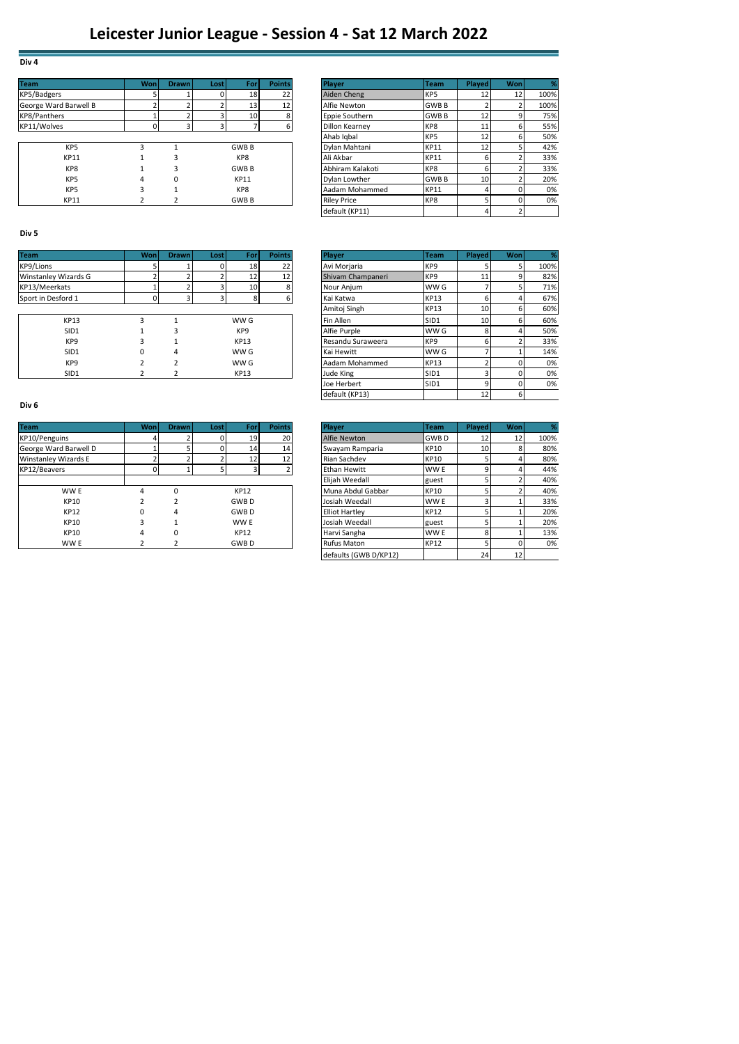| <b>Team</b>           | Won | <b>Drawn</b> | <b>Lost</b> | For             | <b>Points</b> | Player             | Team            | <b>Played</b>   | Won | ℅    |
|-----------------------|-----|--------------|-------------|-----------------|---------------|--------------------|-----------------|-----------------|-----|------|
| KP5/Badgers           |     |              |             | 18              | 22            | Aiden Cheng        | KP <sub>5</sub> | 12              | 12  | 100% |
| George Ward Barwell B |     |              |             | 13 <sub>1</sub> | 12            | Alfie Newton       | <b>GWBB</b>     |                 |     | 100% |
| KP8/Panthers          |     |              |             | 10              |               | Eppie Southern     | <b>GWBB</b>     | 12              |     | 75%  |
| KP11/Wolves           |     |              | 3           |                 |               | Dillon Kearney     | KP8             | 11              |     | 55%  |
|                       |     |              |             |                 |               | Ahab Igbal         | KP <sub>5</sub> | 12              |     | 50%  |
| KP <sub>5</sub>       |     |              |             | <b>GWB B</b>    |               | Dylan Mahtani      | <b>KP11</b>     | 12              |     | 42%  |
| <b>KP11</b>           |     |              |             | KP8             |               | Ali Akbar          | <b>KP11</b>     |                 |     | 33%  |
| KP8                   |     |              |             | <b>GWBB</b>     |               | Abhiram Kalakoti   | KP8             |                 |     | 33%  |
| KP <sub>5</sub>       | 4   | 0            |             | KP11            |               | Dylan Lowther      | <b>GWBB</b>     | 10 <sup>1</sup> |     | 20%  |
| KP <sub>5</sub>       |     |              |             | KP8             |               | Aadam Mohammed     | <b>KP11</b>     |                 |     | 0%   |
| <b>KP11</b>           |     |              |             | <b>GWB B</b>    |               | <b>Riley Price</b> | KP8             |                 |     | 0%   |

|           | Wonl | <b>Drawn</b>   | Lostl | <b>For</b>   | <b>Points</b>   | <b>Plaver</b>      | <b>Team</b>     | <b>Played</b>   | Wonl |      |
|-----------|------|----------------|-------|--------------|-----------------|--------------------|-----------------|-----------------|------|------|
|           |      |                |       | 18           | 22              | Aiden Cheng        | KP <sub>5</sub> | 12              | 12   | 100% |
| Barwell B |      | $\overline{ }$ |       | 13           | 12 <sub>1</sub> | Alfie Newton       | <b>GWBB</b>     |                 |      | 100% |
|           |      |                |       | 10           | 8               | Eppie Southern     | <b>GWBB</b>     | 12 <sub>1</sub> | 9    | 75%  |
|           |      | 3              |       |              | 6               | Dillon Kearney     | KP8             | 11              | 6    | 55%  |
|           |      |                |       |              |                 | Ahab Igbal         | KP5             | 12              | 6    | 50%  |
| KP5       | 3    |                |       | <b>GWB B</b> |                 | Dylan Mahtani      | <b>KP11</b>     | 12 <sub>1</sub> |      | 42%  |
| KP11      |      | 3              |       | KP8          |                 | Ali Akbar          | <b>KP11</b>     |                 |      | 33%  |
| KP8       |      | з              |       | <b>GWB B</b> |                 | Abhiram Kalakoti   | KP8             | h               |      | 33%  |
| KP5       | 4    | 0              |       | KP11         |                 | Dylan Lowther      | <b>GWBB</b>     | 10              |      | 20%  |
| KP5       | 3    |                |       | KP8          |                 | Aadam Mohammed     | <b>KP11</b>     |                 |      | 0%   |
| KP11      |      |                |       | <b>GWB B</b> |                 | <b>Riley Price</b> | KP8             |                 |      | 0%   |
|           |      |                |       |              |                 | default (KP11)     |                 |                 |      |      |
|           |      |                |       |              |                 |                    |                 |                 |      |      |

### **Div 5**

**Div 4**

| <b>Team</b>          | <b>Won</b> | <b>Drawn</b> | Lost | For             | <b>Points</b> | <b>Player</b>     | <b>Team</b>      | Played          | Wonl | ℅    |
|----------------------|------------|--------------|------|-----------------|---------------|-------------------|------------------|-----------------|------|------|
| KP9/Lions            |            |              | 0    | 18 <sub>1</sub> | 22            | Avi Morjaria      | KP <sub>9</sub>  |                 |      | 100% |
| Winstanley Wizards G |            |              |      | 12              | 12            | Shivam Champaneri | KP <sub>9</sub>  |                 |      | 82%  |
| KP13/Meerkats        |            |              |      | 10 <sub>1</sub> |               | Nour Anjum        | WW G             |                 |      | 71%  |
| Sport in Desford 1   |            |              |      | 8               |               | Kai Katwa         | <b>KP13</b>      |                 |      | 67%  |
|                      |            |              |      |                 |               | Amitoj Singh      | <b>KP13</b>      | 10 <sup>1</sup> |      | 60%  |
| <b>KP13</b>          | з          |              |      | WW G            |               | Fin Allen         | SID <sub>1</sub> | 10              |      | 60%  |
| SID1                 |            |              |      | KP <sub>9</sub> |               | Alfie Purple      | WW G             |                 |      | 50%  |
| KP <sub>9</sub>      | 3          |              |      | <b>KP13</b>     |               | Resandu Suraweera | KP <sub>9</sub>  |                 |      | 33%  |
| SID1                 |            |              |      | WW G            |               | Kai Hewitt        | WW G             |                 |      | 14%  |
| KP <sub>9</sub>      |            |              |      | WW G            |               | Aadam Mohammed    | <b>KP13</b>      |                 |      | 0%   |
| SID1                 |            |              |      | <b>KP13</b>     |               | Jude King         | SID <sub>1</sub> |                 |      | 0%   |

#### **Div 6**

| <b>Team</b>                 | Wonl | <b>Drawn</b> | Lost | For         | <b>Points</b> | <b>Player</b>         | <b>Team</b> | <b>Played</b> | Won | %    |
|-----------------------------|------|--------------|------|-------------|---------------|-----------------------|-------------|---------------|-----|------|
| KP10/Penguins               |      |              | 0    | 19          | 20            | Alfie Newton          | <b>GWBD</b> | 12            | 12  | 100% |
| George Ward Barwell D       |      |              | 0    | 14          | 14            | Swayam Ramparia       | KP10        | 10            |     | 80%  |
| <b>Winstanley Wizards E</b> |      |              |      | 12          | 12            | Rian Sachdev          | <b>KP10</b> |               |     | 80%  |
| KP12/Beavers                |      |              |      |             |               | Ethan Hewitt          | WW E        |               |     | 44%  |
|                             |      |              |      |             |               | Elijah Weedall        | guest       |               |     | 40%  |
| WW E                        | 4    |              |      | <b>KP12</b> |               | Muna Abdul Gabbar     | KP10        |               |     | 40%  |
| <b>KP10</b>                 |      |              |      | <b>GWBD</b> |               | Josiah Weedall        | WW E        |               |     | 33%  |
| <b>KP12</b>                 |      | 4            |      | <b>GWBD</b> |               | <b>Elliot Hartley</b> | <b>KP12</b> |               |     | 20%  |
| <b>KP10</b>                 |      |              |      | WW E        |               | Josiah Weedall        | guest       |               |     | 20%  |
| <b>KP10</b>                 | 4    |              |      | KP12        |               | Harvi Sangha          | WW E        |               |     | 13%  |
| WW E                        |      |              |      | <b>GWBD</b> |               | <b>Rufus Maton</b>    | <b>KP12</b> |               |     | 0%   |

|          | Won | <b>Drawn</b>            | Lost | For             | <b>Points</b> | Player            | <b>Team</b>     | Played          | <b>Won</b> |      |
|----------|-----|-------------------------|------|-----------------|---------------|-------------------|-----------------|-----------------|------------|------|
|          |     |                         |      | 18 <sub>1</sub> | 22            | Avi Morjaria      | KP <sub>9</sub> |                 | 5          | 100% |
| izards G |     | <sup>1</sup>            |      | 12              | 12            | Shivam Champaneri | KP9             | 11              | 9          | 82%  |
| ts       |     | 2                       |      | 10              | 8             | Nour Anjum        | WW G            |                 |            | 71%  |
| ord 1    | 0   | $\overline{\mathbf{3}}$ | 3    | 8               | 6             | Kai Katwa         | <b>KP13</b>     | 6               | 4          | 67%  |
|          |     |                         |      |                 |               | Amitoj Singh      | <b>KP13</b>     | 10              | 6          | 60%  |
| KP13     | 3   | $\overline{ }$          |      | WW G            |               | Fin Allen         | SID1            | 10              | 6          | 60%  |
| SID1     |     | 3                       |      | KP <sub>9</sub> |               | Alfie Purple      | WW G            | 8               | 4          | 50%  |
| KP9      | 3   |                         |      | <b>KP13</b>     |               | Resandu Suraweera | KP <sub>9</sub> | 6               | 2          | 33%  |
| SID1     | 0   | 4                       |      | WW G            |               | Kai Hewitt        | WW G            |                 |            | 14%  |
| KP9      |     | $\overline{2}$          |      | WW G            |               | Aadam Mohammed    | <b>KP13</b>     |                 |            | 0%   |
| SID1     |     | 2                       |      | <b>KP13</b>     |               | Jude King         | SID1            |                 |            | 0%   |
|          |     |                         |      |                 |               | Joe Herbert       | SID1            | a               |            | 0%   |
|          |     |                         |      |                 |               | default (KP13)    |                 | 12 <sub>1</sub> | 6          |      |

|                  | Won          | <b>Drawn</b> | Lost | <b>For</b>  | <b>Points</b>   | Player                | Team        | Played | Won             |      |
|------------------|--------------|--------------|------|-------------|-----------------|-----------------------|-------------|--------|-----------------|------|
| ns               |              |              |      | 19          | 20              | Alfie Newton          | <b>GWBD</b> | 12     | 12 <sub>1</sub> | 100% |
| <b>Barwell D</b> |              |              |      | 14          | 14              | Swayam Ramparia       | <b>KP10</b> | 10     | 8               | 80%  |
| Vizards E        |              |              |      | 12          | 12 <sub>1</sub> | Rian Sachdev          | <b>KP10</b> |        | 4               | 80%  |
|                  |              |              |      |             |                 | <b>Ethan Hewitt</b>   | WW E        | 9      | 4               | 44%  |
|                  |              |              |      |             |                 | Eliiah Weedall        | guest       |        |                 | 40%  |
| WW E             | 4            | 0            |      | <b>KP12</b> |                 | Muna Abdul Gabbar     | <b>KP10</b> |        |                 | 40%  |
| <b>KP10</b>      |              |              |      | <b>GWBD</b> |                 | Josiah Weedall        | WW E        |        |                 | 33%  |
| <b>KP12</b>      | <sup>0</sup> | 4            |      | <b>GWBD</b> |                 | <b>Elliot Hartley</b> | <b>KP12</b> |        |                 | 20%  |
| <b>KP10</b>      | 3            |              |      | WW E        |                 | Josiah Weedall        | guest       |        |                 | 20%  |
| <b>KP10</b>      | 4            | 0            |      | <b>KP12</b> |                 | Harvi Sangha          | WW E        | 8      |                 | 13%  |
| WW E             |              |              |      | <b>GWBD</b> |                 | <b>Rufus Maton</b>    | <b>KP12</b> |        |                 | 0%   |
|                  |              |              |      |             |                 | defaults (GWB D/KP12) |             | 24     | 12              |      |